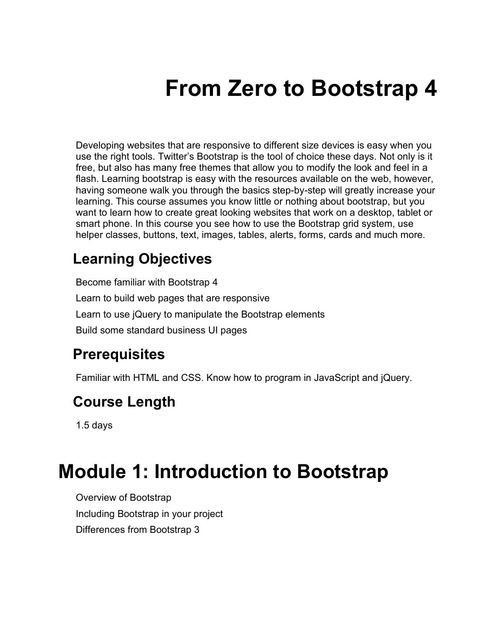# **From Zero to Bootstrap 4**

Developing websites that are responsive to different size devices is easy when you use the right tools. Twitter's Bootstrap is the tool of choice these days. Not only is it free, but also has many free themes that allow you to modify the look and feel in a flash. Learning bootstrap is easy with the resources available on the web, however, having someone walk you through the basics step-by-step will greatly increase your learning. This course assumes you know little or nothing about bootstrap, but you want to learn how to create great looking websites that work on a desktop, tablet or smart phone. In this course you see how to use the Bootstrap grid system, use helper classes, buttons, text, images, tables, alerts, forms, cards and much more.

#### **Learning Objectives**

Become familiar with Bootstrap 4 Learn to build web pages that are responsive Learn to use jQuery to manipulate the Bootstrap elements Build some standard business UI pages

#### **Prerequisites**

Familiar with HTML and CSS. Know how to program in JavaScript and jQuery.

#### **Course Length**

1.5 days

#### **Module 1: Introduction to Bootstrap**

Overview of Bootstrap Including Bootstrap in your project Differences from Bootstrap 3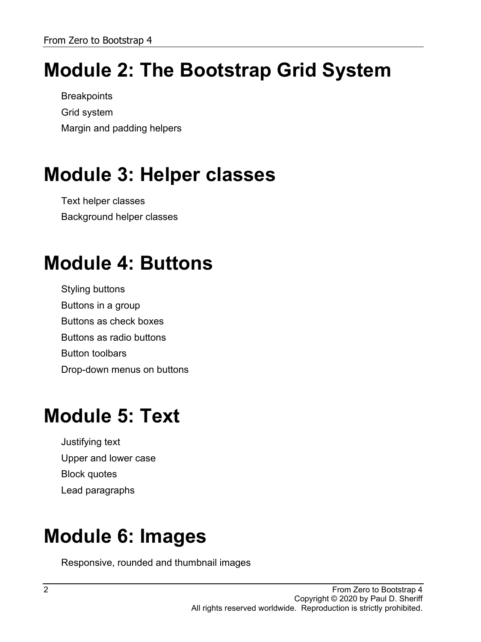## **Module 2: The Bootstrap Grid System**

**Breakpoints** Grid system Margin and padding helpers

## **Module 3: Helper classes**

Text helper classes Background helper classes

## **Module 4: Buttons**

Styling buttons Buttons in a group Buttons as check boxes Buttons as radio buttons Button toolbars Drop-down menus on buttons

### **Module 5: Text**

Justifying text Upper and lower case Block quotes Lead paragraphs

### **Module 6: Images**

Responsive, rounded and thumbnail images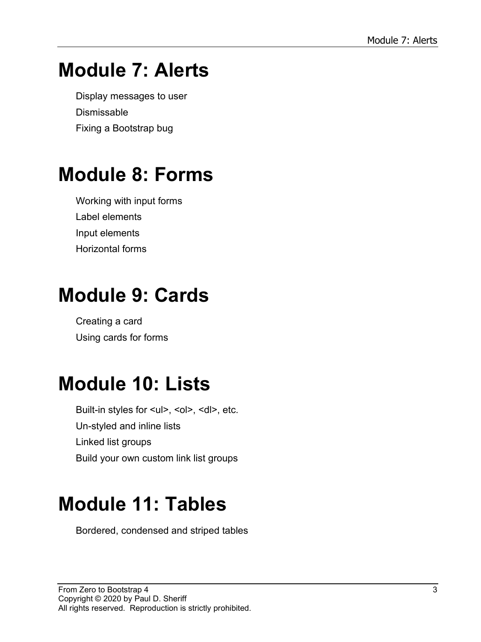#### **Module 7: Alerts**

Display messages to user **Dismissable** Fixing a Bootstrap bug

#### **Module 8: Forms**

Working with input forms Label elements Input elements Horizontal forms

#### **Module 9: Cards**

Creating a card Using cards for forms

#### **Module 10: Lists**

Built-in styles for <ul>, <ol>, <dl>, etc. Un-styled and inline lists Linked list groups Build your own custom link list groups

#### **Module 11: Tables**

Bordered, condensed and striped tables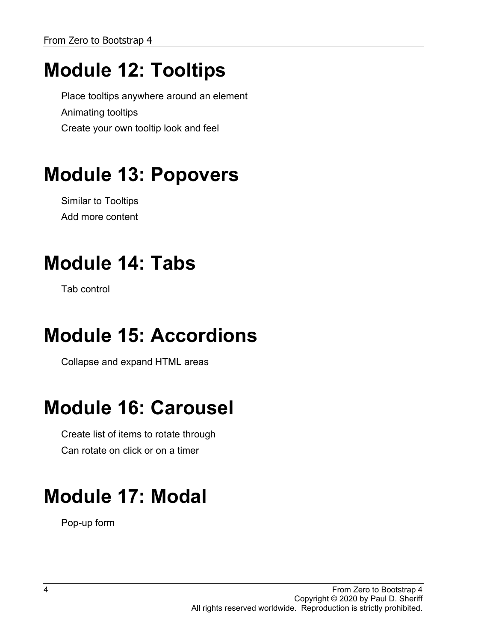## **Module 12: Tooltips**

Place tooltips anywhere around an element Animating tooltips Create your own tooltip look and feel

## **Module 13: Popovers**

Similar to Tooltips Add more content

### **Module 14: Tabs**

Tab control

### **Module 15: Accordions**

Collapse and expand HTML areas

### **Module 16: Carousel**

Create list of items to rotate through Can rotate on click or on a timer

## **Module 17: Modal**

Pop-up form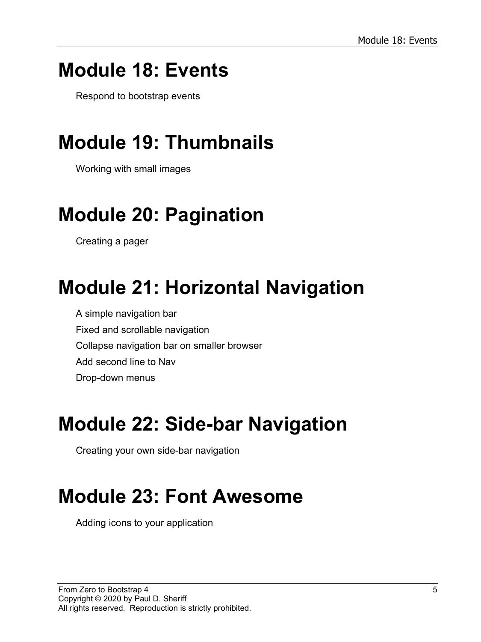#### **Module 18: Events**

Respond to bootstrap events

### **Module 19: Thumbnails**

Working with small images

## **Module 20: Pagination**

Creating a pager

## **Module 21: Horizontal Navigation**

A simple navigation bar Fixed and scrollable navigation Collapse navigation bar on smaller browser Add second line to Nav Drop-down menus

#### **Module 22: Side-bar Navigation**

Creating your own side-bar navigation

## **Module 23: Font Awesome**

Adding icons to your application